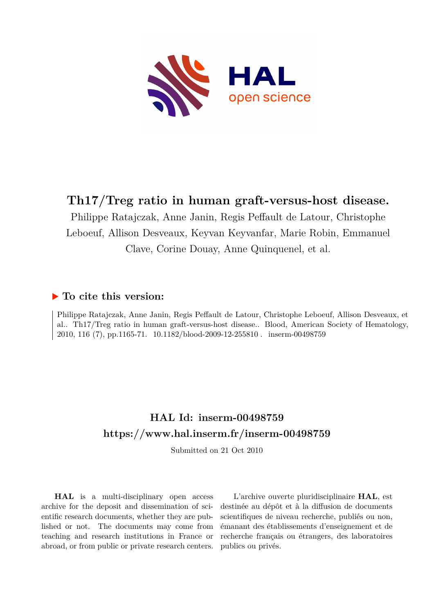

# **Th17/Treg ratio in human graft-versus-host disease.**

Philippe Ratajczak, Anne Janin, Regis Peffault de Latour, Christophe Leboeuf, Allison Desveaux, Keyvan Keyvanfar, Marie Robin, Emmanuel Clave, Corine Douay, Anne Quinquenel, et al.

# **To cite this version:**

Philippe Ratajczak, Anne Janin, Regis Peffault de Latour, Christophe Leboeuf, Allison Desveaux, et al.. Th17/Treg ratio in human graft-versus-host disease.. Blood, American Society of Hematology, 2010, 116 (7), pp.1165-71. 10.1182/blood-2009-12-255810. inserm-00498759

# **HAL Id: inserm-00498759 <https://www.hal.inserm.fr/inserm-00498759>**

Submitted on 21 Oct 2010

**HAL** is a multi-disciplinary open access archive for the deposit and dissemination of scientific research documents, whether they are published or not. The documents may come from teaching and research institutions in France or abroad, or from public or private research centers.

L'archive ouverte pluridisciplinaire **HAL**, est destinée au dépôt et à la diffusion de documents scientifiques de niveau recherche, publiés ou non, émanant des établissements d'enseignement et de recherche français ou étrangers, des laboratoires publics ou privés.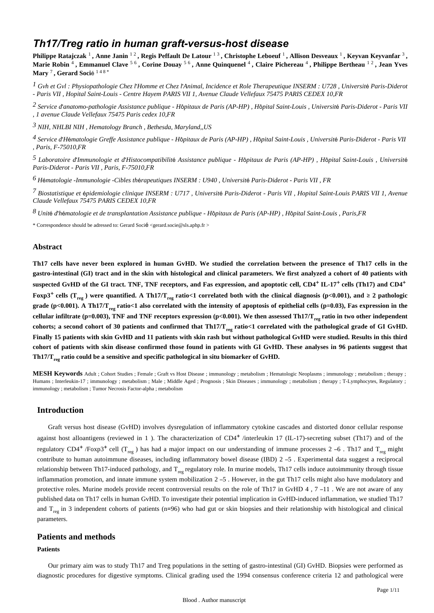# *Th17/Treg ratio in human graft-versus-host disease*

Philippe Ratajczak <sup>1</sup>, Anne Janin <sup>12</sup>, Regis Peffault De Latour <sup>13</sup>, Christophe Leboeuf <sup>1</sup>, Allison Desveaux <sup>1</sup>, Keyvan Keyvanfar <sup>3</sup>, **Marie Robin** <sup>4</sup> **, Emmanuel Clave** 5 6 **, Corine Douay** 5 6 **, Anne Quinquenel** <sup>4</sup> **, Claire Pichereau** <sup>4</sup> **, Philippe Bertheau** 1 2 **, Jean Yves Mary** <sup>7</sup> **, Gerard Soci**é 1 4 8 \*

<sup>1</sup> Gvh et Gvl : Physiopathologie Chez l'Homme et Chez l'Animal, Incidence et Role Therapeutique INSERM : U728, Université Paris-Diderot *- Paris VII , Hopital Saint-Louis - Centre Hayem PARIS VII 1, Avenue Claude Vellefaux 75475 PARIS CEDEX 10,FR*

*Service d anatomo-pathologie 2*  ' *Assistance publique - H*ô*pitaux de Paris (AP-HP) , H*ô*pital Saint-Louis , Universit*é *Paris-Diderot - Paris VII , 1 avenue Claude Vellefaux 75475 Paris cedex 10,FR*

*NIH, NHLBI 3 NIH , Hematology Branch , Bethesda, Maryland,,US*

*Service d H matologie Greffe 4*  ' é *Assistance publique - H*ô*pitaux de Paris (AP-HP) , H*ô*pital Saint-Louis , Universit*é *Paris-Diderot - Paris VII , Paris, F-75010,FR*

*Laboratoire d Immunologie et d Histocompatibilit 5*  ' ' é *Assistance publique - H*ô*pitaux de Paris (AP-HP) , H*ô*pital Saint-Louis , Universit*é *Paris-Diderot - Paris VII , Paris, F-75010,FR*

*H matologie -Immunologie -Cibles th rapeutiques 6* <sup>é</sup> <sup>é</sup> *INSERM : U940 , Universit*é *Paris-Diderot - Paris VII , FR*

*Biostatistique et pidemiologie clinique 7* <sup>é</sup> *INSERM : U717 , Universit*é *Paris-Diderot - Paris VII , Hopital Saint-Louis PARIS VII 1, Avenue Claude Vellefaux 75475 PARIS CEDEX 10,FR*

*Unit d h matologie et de transplantation 8* <sup>é</sup> ' <sup>é</sup> *Assistance publique - H*ô*pitaux de Paris (AP-HP) , H*ô*pital Saint-Louis , Paris,FR*

\* Correspondence should be adressed to: Gerard Socié <gerard.socie@sls.aphp.fr >

### **Abstract**

**Th17 cells have never been explored in human GvHD. We studied the correlation between the presence of Th17 cells in the gastro-intestinal (GI) tract and in the skin with histological and clinical parameters. We first analyzed a cohort of 40 patients with** suspected GvHD of the GI tract. TNF, TNF receptors, and Fas expression, and apoptotic cell, CD4<sup>+</sup> IL-17<sup>+</sup> cells (Th17) and CD4<sup>+</sup> **Foxp3<sup>+</sup> cells (T<sub>reg</sub>) were quantified. A Th17/T<sub>reg</sub> ratio<1 correlated both with the clinical diagnosis (p<0.001), and**  $\geq 2$  **pathologic** grade (p<0.001). A Th17/T<sub>reg</sub> ratio<1 also correlated with the intensity of apoptosis of epithelial cells (p=0.03), Fas expression in the cellular infiltrate (p=0.003), TNF and TNF receptors expression (p<0.001). We then assessed Th17/T<sub>reg</sub> ratio in two other independent cohorts; a second cohort of 30 patients and confirmed that  $Th17/T_{rec}$  ratio<1 correlated with the pathological grade of GI GvHD. **Finally 15 patients with skin GvHD and 11 patients with skin rash but without pathological GvHD were studied. Results in this third cohort of patients with skin disease confirmed those found in patients with GI GvHD. These analyses in 96 patients suggest that Th17/T**<sub>reg</sub> ratio could be a sensitive and specific pathological in situ biomarker of GvHD.

**MESH Keywords** Adult ; Cohort Studies ; Female ; Graft vs Host Disease ; immunology ; metabolism ; Hematologic Neoplasms ; immunology ; metabolism ; therapy ; Humans ; Interleukin-17 ; immunology ; metabolism ; Male ; Middle Aged ; Prognosis ; Skin Diseases ; immunology ; metabolism ; therapy ; T-Lymphocytes, Regulatory ; immunology ; metabolism ; Tumor Necrosis Factor-alpha ; metabolism

# **Introduction**

Graft versus host disease (GvHD) involves dysregulation of inflammatory cytokine cascades and distorted donor cellular response against host alloantigens (reviewed in 1). The characterization of  $CD4^+$ /interleukin 17 (IL-17)-secreting subset (Th17) and of the regulatory CD4<sup>+</sup> /Foxp3<sup>+</sup> cell (T<sub>reg</sub>) has had a major impact on our understanding of immune processes 2 –6. Th17 and T<sub>reg</sub> might contribute to human autoimmune diseases, including inflammatory bowel disease (IBD) 2 –5 . Experimental data suggest a reciprocal relationship between Th17-induced pathology, and  $T_{\text{res}}$  regulatory role. In murine models, Th17 cells induce autoimmunity through tissue inflammation promotion, and innate immune system mobilization 2 –5 . However, in the gut Th17 cells might also have modulatory and protective roles. Murine models provide recent controversial results on the role of Th17 in GvHD 4, 7 –11. We are not aware of any published data on Th17 cells in human GvHD. To investigate their potential implication in GvHD-induced inflammation, we studied Th17 and  $T_{\text{res}}$  in 3 independent cohorts of patients (n=96) who had gut or skin biopsies and their relationship with histological and clinical parameters.

# **Patients and methods**

#### **Patients**

Our primary aim was to study Th17 and Treg populations in the setting of gastro-intestinal (GI) GvHD. Biopsies were performed as diagnostic procedures for digestive symptoms. Clinical grading used the 1994 consensus conference criteria 12 and pathological were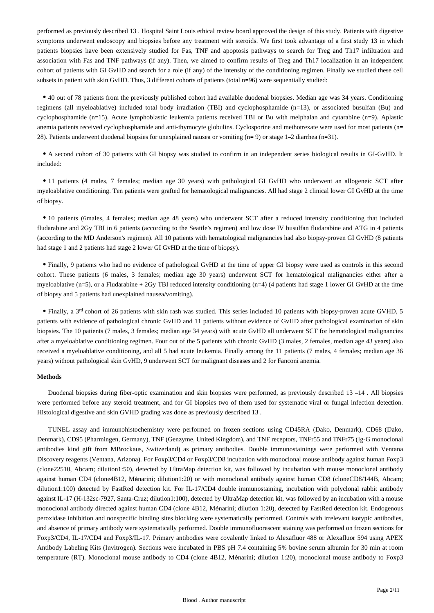performed as previously described 13 . Hospital Saint Louis ethical review board approved the design of this study. Patients with digestive symptoms underwent endoscopy and biopsies before any treatment with steroids. We first took advantage of a first study 13 in which patients biopsies have been extensively studied for Fas, TNF and apoptosis pathways to search for Treg and Th17 infiltration and association with Fas and TNF pathways (if any). Then, we aimed to confirm results of Treg and Th17 localization in an independent cohort of patients with GI GvHD and search for a role (if any) of the intensity of the conditioning regimen. Finally we studied these cell subsets in patient with skin GvHD. Thus, 3 different cohorts of patients (total n=96) were sequentially studied:

40 out of 78 patients from the previously published cohort had available duodenal biopsies. Median age was 34 years. Conditioning regimens (all myeloablative) included total body irradiation (TBI) and cyclophosphamide (n=13), or associated busulfan (Bu) and cyclophosphamide (n=15). Acute lymphoblastic leukemia patients received TBI or Bu with melphalan and cytarabine (n=9). Aplastic anemia patients received cyclophosphamide and anti-thymocyte globulins. Cyclosporine and methotrexate were used for most patients (n= 28). Patients underwent duodenal biopsies for unexplained nausea or vomiting (n= 9) or stage 1–2 diarrhea (n=31).

A second cohort of 30 patients with GI biopsy was studied to confirm in an independent series biological results in GI-GvHD. It included:

11 patients (4 males, 7 females; median age 30 years) with pathological GI GvHD who underwent an allogeneic SCT after myeloablative conditioning. Ten patients were grafted for hematological malignancies. All had stage 2 clinical lower GI GvHD at the time of biopsy.

10 patients (6males, 4 females; median age 48 years) who underwent SCT after a reduced intensity conditioning that included fludarabine and 2Gy TBI in 6 patients (according to the Seattle's regimen) and low dose IV busulfan fludarabine and ATG in 4 patients (according to the MD Anderson's regimen). All 10 patients with hematological malignancies had also biopsy-proven GI GvHD (8 patients had stage 1 and 2 patients had stage 2 lower GI GvHD at the time of biopsy).

Finally, 9 patients who had no evidence of pathological GvHD at the time of upper GI biopsy were used as controls in this second cohort. These patients (6 males, 3 females; median age 30 years) underwent SCT for hematological malignancies either after a myeloablative (n=5), or a Fludarabine + 2Gy TBI reduced intensity conditioning (n=4) (4 patients had stage 1 lower GI GvHD at the time of biopsy and 5 patients had unexplained nausea/vomiting).

• Finally, a 3<sup>rd</sup> cohort of 26 patients with skin rash was studied. This series included 10 patients with biopsy-proven acute GVHD, 5 patients with evidence of pathological chronic GvHD and 11 patients without evidence of GvHD after pathological examination of skin biopsies. The 10 patients (7 males, 3 females; median age 34 years) with acute GvHD all underwent SCT for hematological malignancies after a myeloablative conditioning regimen. Four out of the 5 patients with chronic GvHD (3 males, 2 females, median age 43 years) also received a myeloablative conditioning, and all 5 had acute leukemia. Finally among the 11 patients (7 males, 4 females; median age 36 years) without pathological skin GvHD, 9 underwent SCT for malignant diseases and 2 for Fanconi anemia.

#### **Methods**

Duodenal biopsies during fiber-optic examination and skin biopsies were performed, as previously described 13 –14 . All biopsies were performed before any steroid treatment, and for GI biopsies two of them used for systematic viral or fungal infection detection. Histological digestive and skin GVHD grading was done as previously described 13 .

TUNEL assay and immunohistochemistry were performed on frozen sections using CD45RA (Dako, Denmark), CD68 (Dako, Denmark), CD95 (Pharmingen, Germany), TNF (Genzyme, United Kingdom), and TNF receptors, TNFr55 and TNFr75 (Ig-G monoclonal antibodies kind gift from MBrockaus, Switzerland) as primary antibodies. Double immunostainings were performed with Ventana Discovery reagents (Ventana, Arizona). For Foxp3/CD4 or Foxp3/CD8 incubation with monoclonal mouse antibody against human Foxp3 (clone22510, Abcam; dilution1:50), detected by UltraMap detection kit, was followed by incubation with mouse monoclonal antibody against human CD4 (clone4B12, Ménarini; dilution1:20) or with monoclonal antibody against human CD8 (cloneCD8/144B, Abcam; dilution1:100) detected by FastRed detection kit. For IL-17/CD4 double immunostaining, incubation with polyclonal rabbit antibody against IL-17 (H-132sc-7927, Santa-Cruz; dilution1:100), detected by UltraMap detection kit, was followed by an incubation with a mouse monoclonal antibody directed against human CD4 (clone 4B12, Ménarini; dilution 1:20), detected by FastRed detection kit. Endogenous peroxidase inhibition and nonspecific binding sites blocking were systematically performed. Controls with irrelevant isotypic antibodies, and absence of primary antibody were systematically performed. Double immunofluorescent staining was performed on frozen sections for Foxp3/CD4, IL-17/CD4 and Foxp3/IL-17. Primary antibodies were covalently linked to Alexafluor 488 or Alexafluor 594 using APEX Antibody Labeling Kits (Invitrogen). Sections were incubated in PBS pH 7.4 containing 5% bovine serum albumin for 30 min at room temperature (RT). Monoclonal mouse antibody to CD4 (clone 4B12, Ménarini; dilution 1:20), monoclonal mouse antibody to Foxp3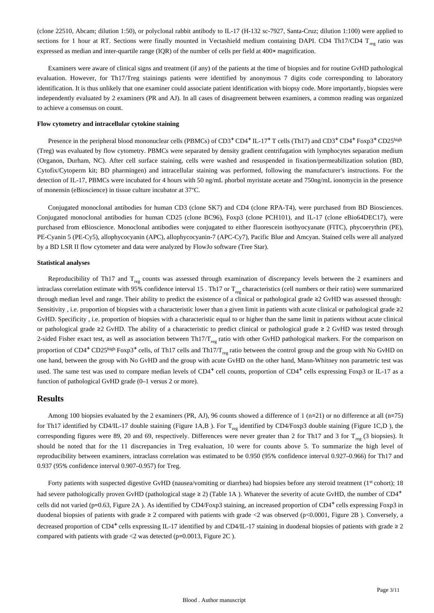(clone 22510, Abcam; dilution 1:50), or polyclonal rabbit antibody to IL-17 (H-132 sc-7927, Santa-Cruz; dilution 1:100) were applied to sections for 1 hour at RT. Sections were finally mounted in Vectashield medium containing DAPI. CD4 Th17/CD4  $T_{res}$  ratio was expressed as median and inter-quartile range (IQR) of the number of cells per field at 400× magnification.

Examiners were aware of clinical signs and treatment (if any) of the patients at the time of biopsies and for routine GvHD pathological evaluation. However, for Th17/Treg stainings patients were identified by anonymous 7 digits code corresponding to laboratory identification. It is thus unlikely that one examiner could associate patient identification with biopsy code. More importantly, biopsies were independently evaluated by 2 examiners (PR and AJ). In all cases of disagreement between examiners, a common reading was organized to achieve a consensus on count.

#### **Flow cytometry and intracellular cytokine staining**

Presence in the peripheral blood mononuclear cells (PBMCs) of  $CD3^+CD4^+$  IL-17<sup>+</sup> T cells (Th17) and  $CD3^+CD4^+$  Foxp3<sup>+</sup>  $CD25^{\text{high}}$ (Treg) was evaluated by flow cytometry. PBMCs were separated by density gradient centrifugation with lymphocytes separation medium (Organon, Durham, NC). After cell surface staining, cells were washed and resuspended in fixation/permeabilization solution (BD, Cytofix/Cytoperm kit; BD pharmingen) and intracellular staining was performed, following the manufacturer's instructions. For the detection of IL-17, PBMCs were incubated for 4 hours with 50 ng/mL phorbol myristate acetate and 750ng/mL ionomycin in the presence of monensin (eBioscience) in tissue culture incubator at 37°C.

Conjugated monoclonal antibodies for human CD3 (clone SK7) and CD4 (clone RPA-T4), were purchased from BD Biosciences. Conjugated monoclonal antibodies for human CD25 (clone BC96), Foxp3 (clone PCH101), and IL-17 (clone eBio64DEC17), were purchased from eBioscience. Monoclonal antibodies were conjugated to either fluorescein isothyocyanate (FITC), phycoerythrin (PE), PE-Cyanin 5 (PE-Cy5), allophycocyanin (APC), allophycocyanin-7 (APC-Cy7), Pacific Blue and Amcyan. Stained cells were all analyzed by a BD LSR II flow cytometer and data were analyzed by FlowJo software (Tree Star).

#### **Statistical analyses**

Reproducibility of Th17 and  $T_{res}$  counts was assessed through examination of discrepancy levels between the 2 examiners and intraclass correlation estimate with 95% confidence interval 15 . Th17 or  $T_{\text{rec}}$  characteristics (cell numbers or their ratio) were summarized through median level and range. Their ability to predict the existence of a clinical or pathological grade ≥2 GvHD was assessed through: Sensitivity , i.e. proportion of biopsies with a characteristic lower than a given limit in patients with acute clinical or pathological grade ≥2 GvHD. Specificity , i.e. proportion of biopsies with a characteristic equal to or higher than the same limit in patients without acute clinical or pathological grade ≥2 GvHD. The ability of a characteristic to predict clinical or pathological grade ≥ 2 GvHD was tested through 2-sided Fisher exact test, as well as association between Th17/T<sub>ree</sub> ratio with other GvHD pathological markers. For the comparison on proportion of CD4<sup>+</sup> CD25<sup>high</sup> Foxp3<sup>+</sup> cells, of Th17 cells and Th17/T<sub>reg</sub> ratio between the control group and the group with No GvHD on one hand, between the group with No GvHD and the group with acute GvHD on the other hand, Mann-Whitney non parametric test was used. The same test was used to compare median levels of  $CD4^+$  cell counts, proportion of  $CD4^+$  cells expressing Foxp3 or IL-17 as a function of pathological GvHD grade (0–1 versus 2 or more).

#### **Results**

Among 100 biopsies evaluated by the 2 examiners (PR, AJ), 96 counts showed a difference of 1 (n=21) or no difference at all (n=75) for Th17 identified by CD4/IL-17 double staining (Figure 1A,B ). For  $T_{res}$  identified by CD4/Foxp3 double staining (Figure 1C,D ), the corresponding figures were 89, 20 and 69, respectively. Differences were never greater than 2 for Th17 and 3 for  $T_{\text{res}}$  (3 biopsies). It should be noted that for the 11 discrepancies in Treg evaluation, 10 were for counts above 5. To summarize the high level of reproducibility between examiners, intraclass correlation was estimated to be 0.950 (95% confidence interval 0.927–0.966) for Th17 and 0.937 (95% confidence interval 0.907–0.957) for Treg.

Forty patients with suspected digestive GvHD (nausea/vomiting or diarrhea) had biopsies before any steroid treatment ( $1<sup>st</sup>$  cohort); 18 had severe pathologically proven GvHD (pathological stage  $\geq$  2) (Table 1A). Whatever the severity of acute GvHD, the number of CD4<sup>+</sup> cells did not varied (p=0.63, Figure 2A). As identified by CD4/Foxp3 staining, an increased proportion of CD4<sup>+</sup> cells expressing Foxp3 in duodenal biopsies of patients with grade  $\geq 2$  compared with patients with grade <2 was observed (p<0.0001, Figure 2B). Conversely, a decreased proportion of CD4<sup>+</sup> cells expressing IL-17 identified by and CD4/IL-17 staining in duodenal biopsies of patients with grade  $\geq 2$ compared with patients with grade <2 was detected (p=0.0013, Figure 2C ).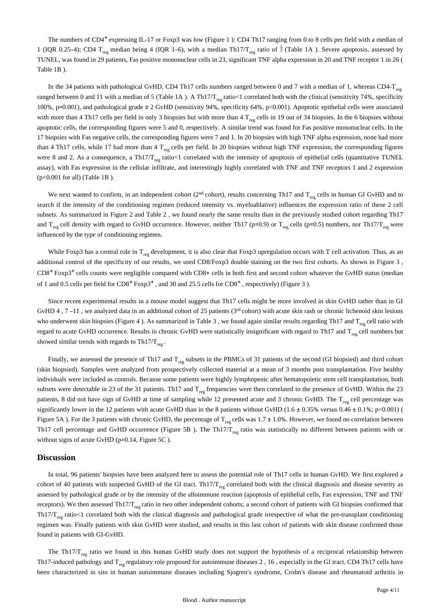The numbers of  $CD4^+$  expressing IL-17 or Foxp3 was low (Figure 1): CD4 Th17 ranging from 0 to 8 cells per field with a median of 1 (IQR 0.25–4); CD4 T<sub>reg</sub> median being 4 (IQR 1–6), with a median Th17/T<sub>reg</sub> ratio of  $\frac{1}{2}$  (Table 1A). Severe apoptosis, assessed by TUNEL, was found in 29 patients, Fas positive mononuclear cells in 23, significant TNF alpha expression in 20 and TNF receptor 1 in 26 ( Table 1B ).

In the 34 patients with pathological GvHD, CD4 Th17 cells numbers ranged between 0 and 7 with a median of 1, whereas CD4-T $_{reg}$ ranged between 0 and 11 with a median of 5 (Table 1A). A Th17/T<sub>reg</sub> ratio<1 correlated both with the clinical (sensitivity 74%, specificity 100%, p=0.001), and pathological grade ≥ 2 GvHD (sensitivity 94%, specificity 64%, p<0.001). Apoptotic epithelial cells were associated with more than 4 Th17 cells per field in only 3 biopsies but with more than 4  $T_{\text{res}}$  cells in 19 out of 34 biopsies. In the 6 biopsies without apoptotic cells, the corresponding figures were 5 and 0, respectively. A similar trend was found for Fas positive mononuclear cells. In the 17 biopsies with Fas negative cells, the corresponding figures were 7 and 1. In 20 biopsies with high TNF alpha expression, none had more than 4 Th17 cells, while 17 had more than 4  $T_{\text{res}}$  cells per field. In 20 biopsies without high TNF expression, the corresponding figures were 8 and 2. As a consequence, a Th17/T<sub>reg</sub> ratio<1 correlated with the intensity of apoptosis of epithelial cells (quantitative TUNEL assay), with Fas expression in the cellular infiltrate, and interestingly highly correlated with TNF and TNF receptors 1 and 2 expression (p<0.001 for all) (Table 1B ).

We next wanted to confirm, in an independent cohort ( $2<sup>nd</sup>$  cohort), results concerning Th17 and  $T_{reg}$  cells in human GI GvHD and to search if the intensity of the conditioning regimen (reduced intensity vs. myeloablative) influences the expression ratio of these 2 cell subsets. As summarized in Figure 2 and Table 2 , we found nearly the same results than in the previously studied cohort regarding Th17 and  $T_{\text{res}}$  cell density with regard to GvHD occurrence. However, neither Th17 (p=0.9) or  $T_{\text{res}}$  cells (p=0.5) numbers, nor Th17/T<sub>reg</sub> were influenced by the type of conditioning regimen.

While Foxp3 has a central role in  $T_{res}$  development, it is also clear that Foxp3 upregulation occurs with T cell activation. Thus, as an additional control of the specificity of our results, we used CD8/Foxp3 double staining on the two first cohorts. As shown in Figure 3 ,  $CD8<sup>+</sup>$  Foxp3<sup>+</sup> cells counts were negligible compared with CD8+ cells in both first and second cohort whatever the GvHD status (median of 1 and 0.5 cells per field for  $CD8^+$  Foxp3<sup>+</sup>, and 30 and 25.5 cells for  $CD8^+$ , respectively) (Figure 3).

Since recent experimental results in a mouse model suggest that Th17 cells might be more involved in skin GvHD rather than in GI GvHD 4, 7 –11, we analyzed data in an additional cohort of 25 patients ( $3<sup>rd</sup>$  cohort) with acute skin rash or chronic lichenoid skin lesions who underwent skin biopsies (Figure 4). As summarized in Table 3, we found again similar results regarding Th17 and  $T_{\text{re}}$  cell ratio with regard to acute GvHD occurrence. Results in chronic GvHD were statistically insignificant with regard to Th17 and  $T_{res}$  cell numbers but showed similar trends with regards to Th17/ $T_{reg}$ .

Finally, we assessed the presence of Th17 and  $T_{\text{res}}$  subsets in the PBMCs of 31 patients of the second (GI biopsied) and third cohort (skin biopsied). Samples were analyzed from prospectively collected material at a mean of 3 months post transplantation. Five healthy individuals were included as controls. Because some patients were highly lymphopenic after hematopoietic stem cell transplantation, both subsets were detectable in 23 of the 31 patients. Th17 and  $T_{\text{req}}$  frequencies were then correlated to the presence of GvHD. Within the 23 patients, 8 did not have sign of GvHD at time of sampling while 12 presented acute and 3 chronic GvHD. The  $T_{\text{res}}$  cell percentage was significantly lower in the 12 patients with acute GvHD than in the 8 patients without GvHD (1.6  $\pm$  0.35% versus 0.46  $\pm$  0.1%; p<0.001) ( Figure 5A ). For the 3 patients with chronic GvHD, the percentage of  $T_{\text{rec}}$  cells was 1.7  $\pm$  1.0%. However, we found no correlation between Th17 cell percentage and GvHD occurrence (Figure 5B). The Th17/ $T_{\text{res}}$  ratio was statistically no different between patients with or without signs of acute GvHD (p=0.14, Figure 5C).

#### **Discussion**

In total, 96 patients' biopsies have been analyzed here to assess the potential role of Th17 cells in human GvHD. We first explored a cohort of 40 patients with suspected GvHD of the GI tract. Th17/T<sub>reg</sub> correlated both with the clinical diagnosis and disease severity as assessed by pathological grade or by the intensity of the alloimmune reaction (apoptosis of epithelial cells, Fas expression, TNF and TNF receptors). We then assessed Th17/T<sub>ree</sub> ratio in two other independent cohorts; a second cohort of patients with GI biopsies confirmed that  $Th17/T<sub>rec</sub>$  ratio<1 correlated both with the clinical diagnosis and pathological grade irrespective of what the pre-transplant conditioning regimen was. Finally patients with skin GvHD were studied, and results in this last cohort of patients with skin disease confirmed those found in patients with GI-GvHD.

The Th17/ $T_{\text{reg}}$  ratio we found in this human GvHD study does not support the hypothesis of a reciprocal relationship between Th17-induced pathology and  $T_{\text{res}}$  regulatory role proposed for autoimmune diseases 2, 16, especially in the GI tract. CD4 Th17 cells have been characterized in situ in human autoimmune diseases including Sjogren's syndrome, Crohn's disease and rheumatoid arthritis in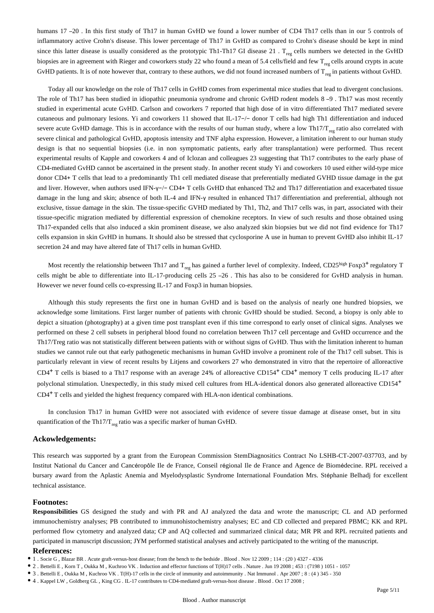humans 17-20. In this first study of Th17 in human GvHD we found a lower number of CD4 Th17 cells than in our 5 controls of inflammatory active Crohn's disease. This lower percentage of Th17 in GvHD as compared to Crohn's disease should be kept in mind since this latter disease is usually considered as the prototypic Th1-Th17 GI disease  $21$  . T<sub>reg</sub> cells numbers we detected in the GvHD biopsies are in agreement with Rieger and coworkers study 22 who found a mean of 5.4 cells/field and few  $T_{res}$  cells around crypts in acute GvHD patients. It is of note however that, contrary to these authors, we did not found increased numbers of  $T_{reg}$  in patients without GvHD.

Today all our knowledge on the role of Th17 cells in GvHD comes from experimental mice studies that lead to divergent conclusions. The role of Th17 has been studied in idiopathic pneumonia syndrome and chronic GvHD rodent models 8 –9 . Th17 was most recently studied in experimental acute GvHD. Carlson and coworkers 7 reported that high dose of in vitro differentiated Th17 mediated severe cutaneous and pulmonary lesions. Yi and coworkers 11 showed that IL-17−/− donor T cells had high Th1 differentiation and induced severe acute GvHD damage. This is in accordance with the results of our human study, where a low Th17/ $T_{\text{rec}}$  ratio also correlated with severe clinical and pathological GvHD, apoptosis intensity and TNF alpha expression. However, a limitation inherent to our human study design is that no sequential biopsies (i.e. in non symptomatic patients, early after transplantation) were performed. Thus recent experimental results of Kapple and coworkers 4 and of Iclozan and colleagues 23 suggesting that Th17 contributes to the early phase of CD4-mediated GvHD cannot be ascertained in the present study. In another recent study Yi and coworkers 10 used either wild-type mice donor CD4+ T cells that lead to a predominantly Th1 cell mediated disease that preferentially mediated GVHD tissue damage in the gut and liver. However, when authors used IFN-γ-/− CD4+ T cells GvHD that enhanced Th2 and Th17 differentiation and exacerbated tissue damage in the lung and skin; absence of both IL-4 and IFN-γ resulted in enhanced Th17 differentiation and preferential, although not exclusive, tissue damage in the skin. The tissue-specific GVHD mediated by Th1, Th2, and Th17 cells was, in part, associated with their tissue-specific migration mediated by differential expression of chemokine receptors. In view of such results and those obtained using Th17-expanded cells that also induced a skin prominent disease, we also analyzed skin biopsies but we did not find evidence for Th17 cells expansion in skin GvHD in humans. It should also be stressed that cyclosporine A use in human to prevent GvHD also inhibit IL-17 secretion 24 and may have altered fate of Th17 cells in human GvHD.

Most recently the relationship between Th17 and  $T_{reg}$  has gained a further level of complexity. Indeed, CD25 high Foxp3<sup>+</sup> regulatory T cells might be able to differentiate into IL-17-producing cells 25 –26 . This has also to be considered for GvHD analysis in human. However we never found cells co-expressing IL-17 and Foxp3 in human biopsies.

Although this study represents the first one in human GvHD and is based on the analysis of nearly one hundred biopsies, we acknowledge some limitations. First larger number of patients with chronic GvHD should be studied. Second, a biopsy is only able to depict a situation (photography) at a given time post transplant even if this time correspond to early onset of clinical signs. Analyses we performed on these 2 cell subsets in peripheral blood found no correlation between Th17 cell percentage and GvHD occurrence and the Th17/Treg ratio was not statistically different between patients with or without signs of GvHD. Thus with the limitation inherent to human studies we cannot rule out that early pathogenetic mechanisms in human GvHD involve a prominent role of the Th17 cell subset. This is particularly relevant in view of recent results by Litjens and coworkers 27 who demonstrated in vitro that the repertoire of alloreactive  $CD4<sup>+</sup>$  T cells is biased to a Th17 response with an average 24% of alloreactive CD154<sup>+</sup> CD4<sup>+</sup> memory T cells producing IL-17 after polyclonal stimulation. Unexpectedly, in this study mixed cell cultures from HLA-identical donors also generated alloreactive CD154+ CD4<sup>+</sup>T cells and yielded the highest frequency compared with HLA-non identical combinations.

In conclusion Th17 in human GvHD were not associated with evidence of severe tissue damage at disease onset, but in situ quantification of the Th17/T<sub>reg</sub> ratio was a specific marker of human GvHD.

#### **Ackowledgements:**

This research was supported by a grant from the European Commission StemDiagnositics Contract No LSHB-CT-2007-037703, and by Institut National du Cancer and Cancéropôle Ile de France, Conseil régional Ile de France and Agence de Biomédecine. RPL received a bursary award from the Aplastic Anemia and Myelodysplastic Syndrome International Foundation Mrs. Stéphanie Belhadj for excellent technical assistance.

#### **Footnotes:**

**Responsibilities** GS designed the study and with PR and AJ analyzed the data and wrote the manuscript; CL and AD performed immunochemistry analyses; PB contributed to immunohistochemistry analyses; EC and CD collected and prepared PBMC; KK and RPL performed flow cytometry and analyzed data; CP and AQ collected and summarized clinical data; MR PR and RPL recruited patients and participated in manuscript discussion; JYM performed statistical analyses and actively participated to the writing of the manuscript.

#### **References:**

- 2 . Bettelli E , Korn T , Oukka M , Kuchroo VK . Induction and effector functions of T(H)17 cells . Nature . Jun 19 2008 ; 453 : (7198 ) 1051 1057
- 3 . Bettelli E , Oukka M , Kuchroo VK . T(H)-17 cells in the circle of immunity and autoimmunity . Nat Immunol . Apr 2007 ; 8 : (4 ) 345 350
- 4 . Kappel LW , Goldberg GL , King CG . IL-17 contributes to CD4-mediated graft-versus-host disease . Blood . Oct 17 2008 ;

<sup>1 .</sup> Socie G , Blazar BR . Acute graft-versus-host disease; from the bench to the bedside . Blood . Nov 12 2009 ; 114 : (20 ) 4327 - 4336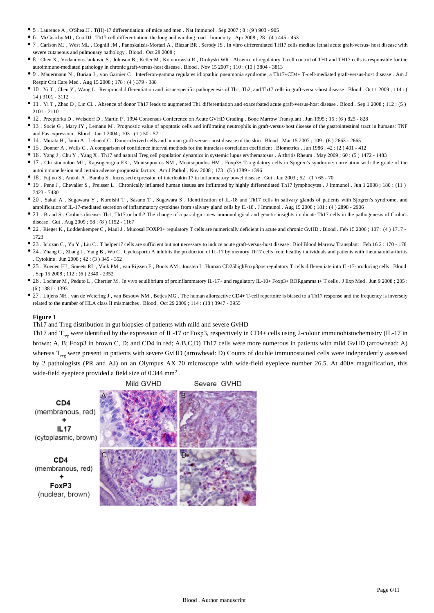- 5 . Laurence A , O'Shea JJ . T(H)-17 differentiation: of mice and men . Nat Immunol . Sep 2007 ; 8 : (9 ) 903 905
- 6 . McGeachy MJ , Cua DJ . Th17 cell differentiation: the long and winding road . Immunity . Apr 2008 ; 28 : (4 ) 445 453
- 7 . Carlson MJ , West ML , Coghill JM , Panoskaltsis-Mortari A , Blazar BR , Serody JS . In vitro differentiated TH17 cells mediate lethal acute graft-versus- host disease with severe cutaneous and pulmonary pathology . Blood . Oct 28 2008 ;
- 8 . Chen X , Vodanovic-Jankovic S , Johnson B , Keller M , Komorowski R , Drobyski WR . Absence of regulatory T-cell control of TH1 and TH17 cells is responsible for the autoimmune-mediated pathology in chronic graft-versus-host disease . Blood . Nov 15 2007 ; 110 : (10 ) 3804 - 3813
- 9 . Mauermann N , Burian J , von Garnier C . Interferon-gamma regulates idiopathic pneumonia syndrome, a Th17+CD4+ T-cell-mediated graft-versus-host disease . Am J Respir Crit Care Med . Aug 15 2008 ; 178 : (4 ) 379 - 388
- 10 . Yi T , Chen Y , Wang L . Reciprocal differentiation and tissue-specific pathogenesis of Th1, Th2, and Th17 cells in graft-versus-host disease . Blood . Oct 1 2009 ; 114 : ( 14 ) 3101 - 3112
- 11 . Yi T , Zhao D , Lin CL . Absence of donor Th17 leads to augmented Th1 differentiation and exacerbated acute graft-versus-host disease . Blood . Sep 1 2008 ; 112 : (5 ) 2101 - 2110
- 12 . Przepiorka D , Weisdorf D , Martin P . 1994 Consensus Conference on Acute GVHD Grading . Bone Marrow Transplant . Jun 1995 ; 15 : (6 ) 825 828
- 13 . Socie G , Mary JY , Lemann M . Prognostic value of apoptotic cells and infiltrating neutrophils in graft-versus-host disease of the gastrointestinal tract in humans: TNF and Fas expression . Blood . Jan 1 2004  $\cdot$  103  $\cdot$  (1) 50 - 57
- 14 . Murata H , Janin A , Leboeuf C . Donor-derived cells and human graft-versus- host disease of the skin . Blood . Mar 15 2007 ; 109 : (6 ) 2663 2665
- 15 . Donner A , Wells G . A comparison of confidence interval methods for the intraclass correlation coefficient . Biometrics . Jun 1986 ; 42 : (2 ) 401 412
- 16 . Yang J , Chu Y , Yang X . Th17 and natural Treg cell population dynamics in systemic lupus erythematosus . Arthritis Rheum . May 2009 ; 60 : (5 ) 1472 1483
- 17 . Christodoulou MI , Kapsogeorgou EK , Moutsopoulos NM , Moutsopoulos HM . Foxp3+ T-regulatory cells in Sjogren's syndrome: correlation with the grade of the autoimmune lesion and certain adverse prognostic factors . Am J Pathol . Nov 2008 ; 173 : (5 ) 1389 - 1396
- 18 . Fujino S , Andoh A , Bamba S . Increased expression of interleukin 17 in inflammatory bowel disease . Gut . Jan 2003 ; 52 : (1 ) 65 70
- 19 . Pene J , Chevalier S , Preisser L . Chronically inflamed human tissues are infiltrated by highly differentiated Th17 lymphocytes . J Immunol . Jun 1 2008 ; 180 : (11 ) 7423 - 7430
- 20 . Sakai A , Sugawara Y , Kuroishi T , Sasano T , Sugawara S . Identification of IL-18 and Th17 cells in salivary glands of patients with Sjogren's syndrome, and amplification of IL-17-mediated secretion of inflammatory cytokines from salivary gland cells by IL-18 . J Immunol . Aug 15 2008 ; 181 : (4 ) 2898 - 2906
- 21 . Brand S . Crohn's disease: Th1, Th17 or both? The change of a paradigm: new immunological and genetic insights implicate Th17 cells in the pathogenesis of Crohn's disease . Gut . Aug 2009 ; 58 : (8 ) 1152 - 1167
- 22 . Rieger K , Loddenkemper C , Maul J . Mucosal FOXP3+ regulatory T cells are numerically deficient in acute and chronic GvHD . Blood . Feb 15 2006 ; 107 : (4 ) 1717 1723
- 23 . Iclozan C , Yu Y , Liu C . T helper17 cells are sufficient but not necessary to induce acute graft-versus-host disease . Biol Blood Marrow Transplant . Feb 16 2 : 170 178
- 24 . Zhang C, Zhang J, Yang B, Wu C. Cyclosporin A inhibits the production of IL-17 by memory Th17 cells from healthy individuals and patients with rheumatoid arthritis . Cytokine . Jun 2008 ; 42 : (3 ) 345 - 352
- 25 . Koenen HJ , Smeets RL , Vink PM , van Rijssen E , Boots AM , Joosten I . Human CD25highFoxp3pos regulatory T cells differentiate into IL-17-producing cells . Blood . Sep 15 2008 ; 112 : (6 ) 2340 - 2352
- 26 . Lochner M , Peduto L , Cherrier M . In vivo equilibrium of proinflammatory IL-17+ and regulatory IL-10+ Foxp3+ RORgamma t+ T cells . J Exp Med . Jun 9 2008 ; 205 : (6 ) 1381 - 1393
- 27 . Litjens NH, van de Wetering J, van Besouw NM, Betjes MG. The human alloreactive CD4+ T-cell repertoire is biased to a Th17 response and the frequency is inversely related to the number of HLA class II mismatches . Blood . Oct 29 2009 ; 114 : (18 ) 3947 - 3955

Th17 and Treg distribution in gut biopsies of patients with mild and severe GvHD

Th17 and  $T_{\text{res}}$  were identified by the expression of IL-17 or Foxp3, respectively in CD4+ cells using 2-colour immunohistochemistry (IL-17 in brown: A, B; Foxp3 in brown C, D; and CD4 in red; A,B,C,D) Th17 cells were more numerous in patients with mild GvHD (arrowhead: A) whereas  $T_{\text{reg}}$  were present in patients with severe GvHD (arrowhead: D) Counts of double immunostained cells were independently assessed by 2 pathologists (PR and AJ) on an Olympus AX 70 microscope with wide-field eyepiece number 26.5. At 400× magnification, this wide-field eyepiece provided a field size of  $0.344$  mm<sup>2</sup>.



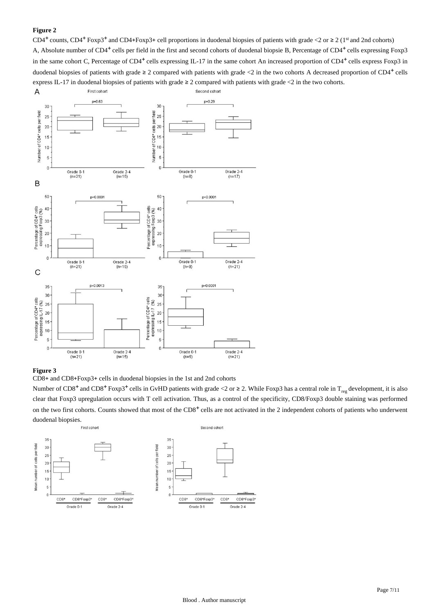CD4<sup>+</sup> counts, CD4<sup>+</sup> Foxp3<sup>+</sup> and CD4+Foxp3+ cell proportions in duodenal biopsies of patients with grade <2 or  $\geq 2$  (1<sup>st</sup> and 2nd cohorts) A, Absolute number of CD4<sup>+</sup> cells per field in the first and second cohorts of duodenal biopsie B, Percentage of CD4<sup>+</sup> cells expressing Foxp3 in the same cohort C, Percentage of  $CD4^+$  cells expressing IL-17 in the same cohort An increased proportion of  $CD4^+$  cells express Foxp3 in duodenal biopsies of patients with grade  $\geq 2$  compared with patients with grade <2 in the two cohorts A decreased proportion of CD4<sup>+</sup> cells express IL-17 in duodenal biopsies of patients with grade ≥ 2 compared with patients with grade <2 in the two cohorts.



#### **Figure 3**

CD8+ and CD8+Foxp3+ cells in duodenal biopsies in the 1st and 2nd cohorts

Number of CD8<sup>+</sup> and CD8<sup>+</sup> Foxp3<sup>+</sup> cells in GvHD patients with grade <2 or ≥ 2. While Foxp3 has a central role in T<sub>reg</sub> development, it is also clear that Foxp3 upregulation occurs with T cell activation. Thus, as a control of the specificity, CD8/Foxp3 double staining was performed on the two first cohorts. Counts showed that most of the CD8<sup>+</sup> cells are not activated in the 2 independent cohorts of patients who underwent duodenal biopsies.

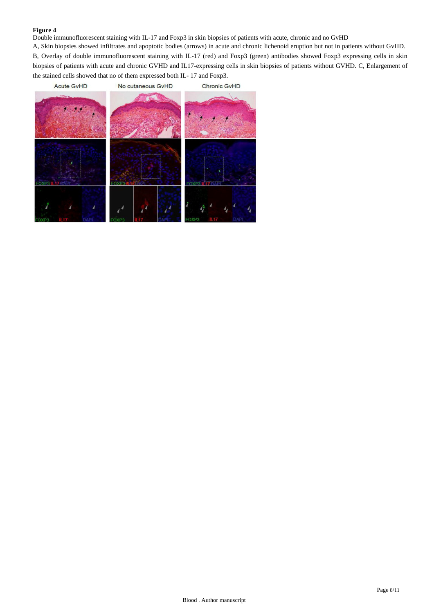Double immunofluorescent staining with IL-17 and Foxp3 in skin biopsies of patients with acute, chronic and no GvHD

A, Skin biopsies showed infiltrates and apoptotic bodies (arrows) in acute and chronic lichenoid eruption but not in patients without GvHD. B, Overlay of double immunofluorescent staining with IL-17 (red) and Foxp3 (green) antibodies showed Foxp3 expressing cells in skin biopsies of patients with acute and chronic GVHD and IL17-expressing cells in skin biopsies of patients without GVHD. C, Enlargement of the stained cells showed that no of them expressed both IL- 17 and Foxp3.

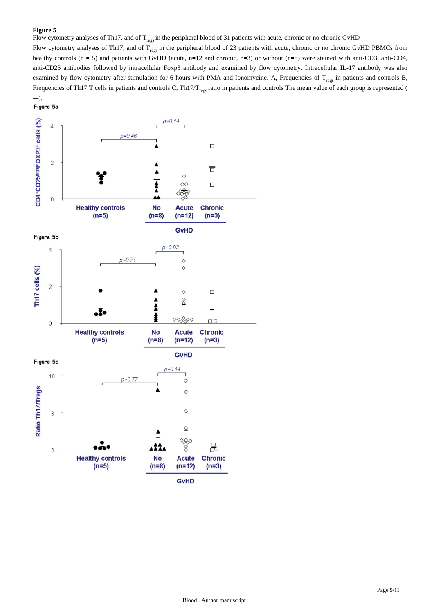Flow cytometry analyses of Th17, and of  $T_{\text{regs}}$  in the peripheral blood of 31 patients with acute, chronic or no chronic GvHD

Flow cytometry analyses of Th17, and of  $T_{\text{res}}$  in the peripheral blood of 23 patients with acute, chronic or no chronic GvHD PBMCs from healthy controls (n = 5) and patients with GvHD (acute, n=12 and chronic, n=3) or without (n=8) were stained with anti-CD3, anti-CD4, anti-CD25 antibodies followed by intracellular Foxp3 antibody and examined by flow cytometry. Intracellular IL-17 antibody was also examined by flow cytometry after stimulation for 6 hours with PMA and Ionomycine. A, Frequencies of  $T_{res}$  in patients and controls B, Frequencies of Th17 T cells in patients and controls C, Th17/T<sub>regs</sub> ratio in patients and controls The mean value of each group is represented (

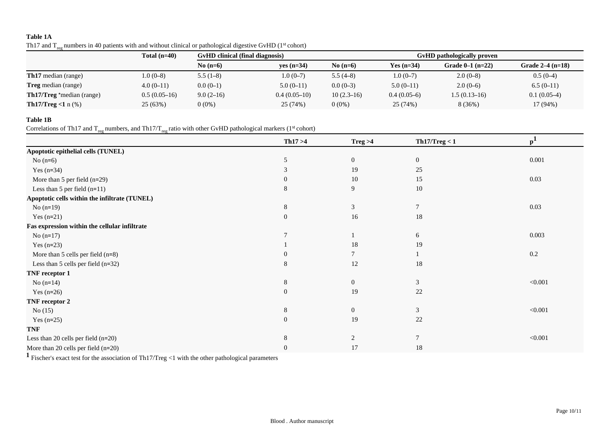# **Table 1A**

| Th17 and $T_{reg}$ numbers in 40 patients with and without clinical or pathological digestive GvHD (1 <sup>st</sup> cohort) |  |
|-----------------------------------------------------------------------------------------------------------------------------|--|
|-----------------------------------------------------------------------------------------------------------------------------|--|

|                                  | Total $(n=40)$ |             | <b>GyHD</b> clinical (final diagnosis) |              |               | GvHD pathologically proven |                    |  |
|----------------------------------|----------------|-------------|----------------------------------------|--------------|---------------|----------------------------|--------------------|--|
|                                  |                | No $(n=6)$  | $ves (n=34)$                           | No $(n=6)$   | Yes $(n=34)$  | Grade $0-1$ (n=22)         | Grade $2-4$ (n=18) |  |
| <b>Th17</b> median (range)       | $1.0(0-8)$     | $5.5(1-8)$  | $1.0(0-7)$                             | $5.5(4-8)$   | $1.0(0-7)$    | $2.0(0-8)$                 | $0.5(0-4)$         |  |
| <b>Treg</b> median (range)       | $4.0(0-11)$    | $0.0(0-1)$  | $5.0(0-11)$                            | $0.0(0-3)$   | $5.0(0-11)$   | $2.0(0-6)$                 | $6.5(0-11)$        |  |
| <b>Th17/Treg</b> *median (range) | $0.5(0.05-16)$ | $9.0(2-16)$ | $0.4(0.05-10)$                         | $10(2.3-16)$ | $0.4(0.05-6)$ | $1.5(0.13-16)$             | $0.1(0.05-4)$      |  |
| <b>Th17/Treg</b> <1 $n$ (%)      | 25(63%)        | $0(0\%)$    | 25 (74%)                               | $0(0\%)$     | 25 (74%)      | 8(36%)                     | 17 (94%)           |  |

# **Table 1B**

Correlations of Th17 and  $T_{reg}$  numbers, and Th17/ $T_{reg}$  ratio with other GvHD pathological markers (1<sup>st</sup> cohort)

|                                               | Th17 > 4       | Treg > 4       | Th17/Treg < 1  | p <sup>1</sup> |
|-----------------------------------------------|----------------|----------------|----------------|----------------|
| Apoptotic epithelial cells (TUNEL)            |                |                |                |                |
| No $(n=6)$                                    | 5              | $\overline{0}$ | $\mathbf{0}$   | 0.001          |
| Yes $(n=34)$                                  | 3              | 19             | 25             |                |
| More than 5 per field $(n=29)$                | $\overline{0}$ | $10\,$         | 15             | 0.03           |
| Less than 5 per field $(n=11)$                | 8              | 9              | 10             |                |
| Apoptotic cells within the infiltrate (TUNEL) |                |                |                |                |
| No $(n=19)$                                   | 8              | 3              | $\overline{7}$ | 0.03           |
| Yes $(n=21)$                                  | $\mathbf{0}$   | 16             | 18             |                |
| Fas expression within the cellular infiltrate |                |                |                |                |
| No $(n=17)$                                   |                |                | 6              | 0.003          |
| Yes $(n=23)$                                  |                | 18             | 19             |                |
| More than 5 cells per field $(n=8)$           | 0              | 7              |                | 0.2            |
| Less than $5$ cells per field (n=32)          | 8              | 12             | 18             |                |
| TNF receptor 1                                |                |                |                |                |
| No $(n=14)$                                   | 8              | $\overline{0}$ | 3              | < 0.001        |
| Yes $(n=26)$                                  | $\mathbf{0}$   | 19             | 22             |                |
| TNF receptor 2                                |                |                |                |                |
| No $(15)$                                     | 8              | $\overline{0}$ | 3              | < 0.001        |
| Yes $(n=25)$                                  | $\mathbf{0}$   | 19             | 22             |                |
| <b>TNF</b>                                    |                |                |                |                |
| Less than 20 cells per field $(n=20)$         | 8              | $\overline{2}$ | $\overline{7}$ | < 0.001        |
| More than 20 cells per field $(n=20)$         | $\theta$       | 17             | 18             |                |

**<sup>1</sup>**Fischer's exact test for the association of Th17/Treg <1 with the other pathological parameters